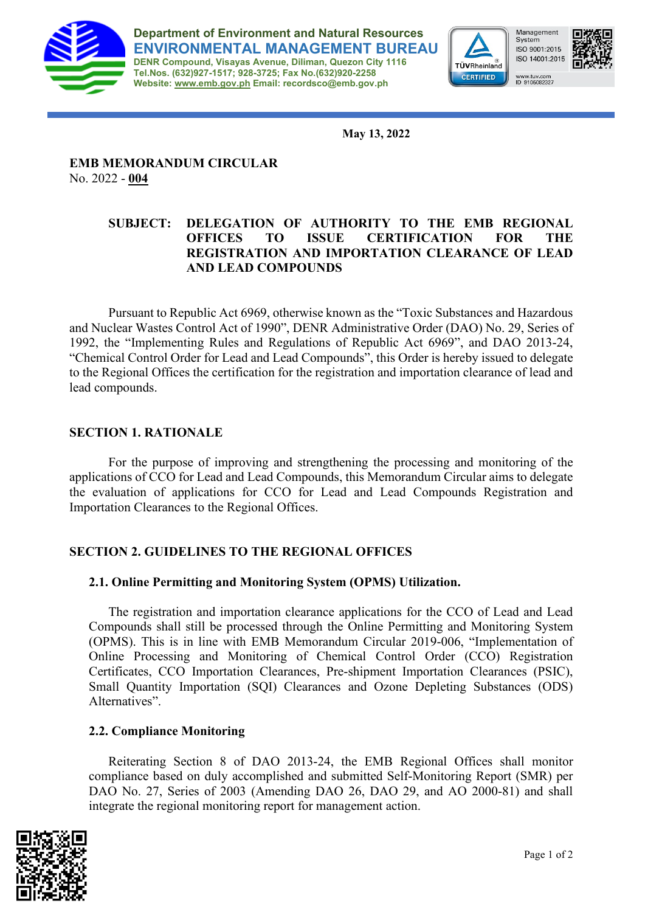

**Department of Environment and Natural Resources ENVIRONMENTAL MANAGEMENT BUREAU DENR Compound, Visayas Avenue, Diliman, Quezon City 1116 Tel.Nos. (632)927-1517; 928-3725; Fax No.(632)920-2258 Website: [www.emb.gov.ph](http://www.emb.gov.ph/) Email: recordsco@emb.gov.ph**



Management System ISO 9001:2015 ISO 14001:2015 www.tuv.com<br>ID 9105082327



**May 13, 2022**

# **EMB MEMORANDUM CIRCULAR** No. 2022 - **004**

## **SUBJECT: DELEGATION OF AUTHORITY TO THE EMB REGIONAL OFFICES TO ISSUE CERTIFICATION FOR THE REGISTRATION AND IMPORTATION CLEARANCE OF LEAD AND LEAD COMPOUNDS**

Pursuant to Republic Act 6969, otherwise known as the "Toxic Substances and Hazardous and Nuclear Wastes Control Act of 1990", DENR Administrative Order (DAO) No. 29, Series of 1992, the "Implementing Rules and Regulations of Republic Act 6969", and DAO 2013-24, "Chemical Control Order for Lead and Lead Compounds", this Order is hereby issued to delegate to the Regional Offices the certification for the registration and importation clearance of lead and lead compounds.

## **SECTION 1. RATIONALE**

For the purpose of improving and strengthening the processing and monitoring of the applications of CCO for Lead and Lead Compounds, this Memorandum Circular aims to delegate the evaluation of applications for CCO for Lead and Lead Compounds Registration and Importation Clearances to the Regional Offices.

## **SECTION 2. GUIDELINES TO THE REGIONAL OFFICES**

## **2.1. Online Permitting and Monitoring System (OPMS) Utilization.**

The registration and importation clearance applications for the CCO of Lead and Lead Compounds shall still be processed through the Online Permitting and Monitoring System (OPMS). This is in line with EMB Memorandum Circular 2019-006, "Implementation of Online Processing and Monitoring of Chemical Control Order (CCO) Registration Certificates, CCO Importation Clearances, Pre-shipment Importation Clearances (PSIC), Small Quantity Importation (SQI) Clearances and Ozone Depleting Substances (ODS) Alternatives".

## **2.2. Compliance Monitoring**

Reiterating Section 8 of DAO 2013-24, the EMB Regional Offices shall monitor compliance based on duly accomplished and submitted Self-Monitoring Report (SMR) per DAO No. 27, Series of 2003 (Amending DAO 26, DAO 29, and AO 2000-81) and shall integrate the regional monitoring report for management action.